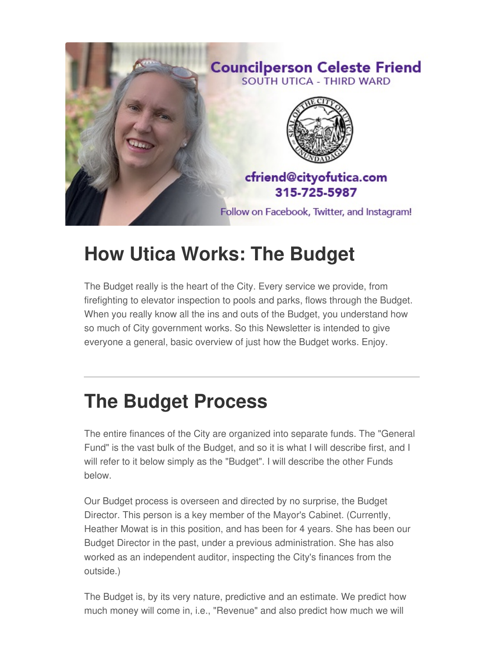

## **How Utica Works: The Budget**

The Budget really is the heart of the City. Every service we provide, from firefighting to elevator inspection to pools and parks, flows through the Budget. When you really know all the ins and outs of the Budget, you understand how so much of City government works. So this Newsletter is intended to give everyone a general, basic overview of just how the Budget works. Enjoy.

# **The Budget Process**

The entire finances of the City are organized into separate funds. The "General Fund" is the vast bulk of the Budget, and so it is what I will describe first, and I will refer to it below simply as the "Budget". I will describe the other Funds below.

Our Budget process is overseen and directed by no surprise, the Budget Director. This person is a key member of the Mayor's Cabinet. (Currently, Heather Mowat is in this position, and has been for 4 years. She has been our Budget Director in the past, under a previous administration. She has also worked as an independent auditor, inspecting the City's finances from the outside.)

The Budget is, by its very nature, predictive and an estimate. We predict how much money will come in, i.e., "Revenue" and also predict how much we will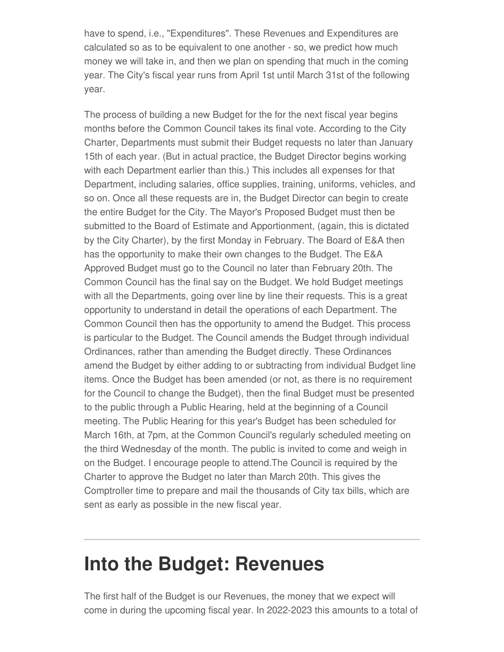have to spend, i.e., "Expenditures". These Revenues and Expenditures are calculated so as to be equivalent to one another - so, we predict how much money we will take in, and then we plan on spending that much in the coming year. The City's fiscal year runs from April 1st until March 31st of the following year.

The process of building a new Budget for the for the next fiscal year begins months before the Common Council takes its final vote. According to the City Charter, Departments must submit their Budget requests no later than January 15th of each year. (But in actual practice, the Budget Director begins working with each Department earlier than this.) This includes all expenses for that Department, including salaries, office supplies, training, uniforms, vehicles, and so on. Once all these requests are in, the Budget Director can begin to create the entire Budget for the City. The Mayor's Proposed Budget must then be submitted to the Board of Estimate and Apportionment, (again, this is dictated by the City Charter), by the first Monday in February. The Board of E&A then has the opportunity to make their own changes to the Budget. The E&A Approved Budget must go to the Council no later than February 20th. The Common Council has the final say on the Budget. We hold Budget meetings with all the Departments, going over line by line their requests. This is a great opportunity to understand in detail the operations of each Department. The Common Council then has the opportunity to amend the Budget. This process is particular to the Budget. The Council amends the Budget through individual Ordinances, rather than amending the Budget directly. These Ordinances amend the Budget by either adding to or subtracting from individual Budget line items. Once the Budget has been amended (or not, as there is no requirement for the Council to change the Budget), then the final Budget must be presented to the public through a Public Hearing, held at the beginning of a Council meeting. The Public Hearing for this year's Budget has been scheduled for March 16th, at 7pm, at the Common Council's regularly scheduled meeting on the third Wednesday of the month. The public is invited to come and weigh in on the Budget. I encourage people to attend.The Council is required by the Charter to approve the Budget no later than March 20th. This gives the Comptroller time to prepare and mail the thousands of City tax bills, which are sent as early as possible in the new fiscal year.

### **Into the Budget: Revenues**

The first half of the Budget is our Revenues, the money that we expect will come in during the upcoming fiscal year. In 2022-2023 this amounts to a total of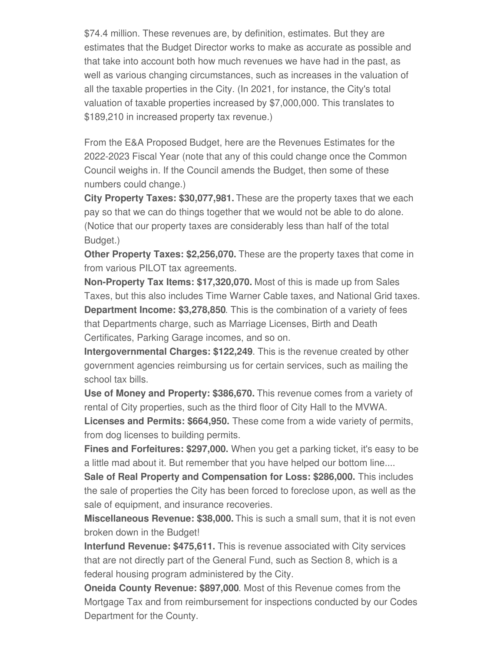\$74.4 million. These revenues are, by definition, estimates. But they are estimates that the Budget Director works to make as accurate as possible and that take into account both how much revenues we have had in the past, as well as various changing circumstances, such as increases in the valuation of all the taxable properties in the City. (In 2021, for instance, the City's total valuation of taxable properties increased by \$7,000,000. This translates to \$189,210 in increased property tax revenue.)

From the E&A Proposed Budget, here are the Revenues Estimates for the 2022-2023 Fiscal Year (note that any of this could change once the Common Council weighs in. If the Council amends the Budget, then some of these numbers could change.)

**City Property Taxes: \$30,077,981.** These are the property taxes that we each pay so that we can do things together that we would not be able to do alone. (Notice that our property taxes are considerably less than half of the total Budget.)

**Other Property Taxes: \$2,256,070.** These are the property taxes that come in from various PILOT tax agreements.

**Non-Property Tax Items: \$17,320,070.** Most of this is made up from Sales Taxes, but this also includes Time Warner Cable taxes, and National Grid taxes. **Department Income: \$3,278,850**. This is the combination of a variety of fees that Departments charge, such as Marriage Licenses, Birth and Death Certificates, Parking Garage incomes, and so on.

**Intergovernmental Charges: \$122,249**. This is the revenue created by other government agencies reimbursing us for certain services, such as mailing the school tax bills.

**Use of Money and Property: \$386,670.** This revenue comes from a variety of rental of City properties, such as the third floor of City Hall to the MVWA.

**Licenses and Permits: \$664,950.** These come from a wide variety of permits, from dog licenses to building permits.

**Fines and Forfeitures: \$297,000.** When you get a parking ticket, it's easy to be a little mad about it. But remember that you have helped our bottom line....

**Sale of Real Property and Compensation for Loss: \$286,000.** This includes the sale of properties the City has been forced to foreclose upon, as well as the sale of equipment, and insurance recoveries.

**Miscellaneous Revenue: \$38,000.** This is such a small sum, that it is not even broken down in the Budget!

**Interfund Revenue: \$475,611.** This is revenue associated with City services that are not directly part of the General Fund, such as Section 8, which is a federal housing program administered by the City.

**Oneida County Revenue: \$897,000**. Most of this Revenue comes from the Mortgage Tax and from reimbursement for inspections conducted by our Codes Department for the County.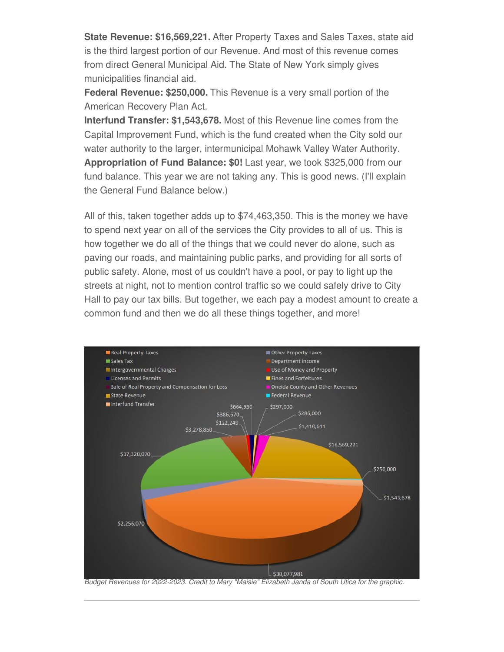**State Revenue: \$16,569,221.** After Property Taxes and Sales Taxes, state aid is the third largest portion of our Revenue. And most of this revenue comes from direct General Municipal Aid. The State of New York simply gives municipalities financial aid.

**Federal Revenue: \$250,000.** This Revenue is a very small portion of the American Recovery Plan Act.

**Interfund Transfer: \$1,543,678.** Most of this Revenue line comes from the Capital Improvement Fund, which is the fund created when the City sold our water authority to the larger, intermunicipal Mohawk Valley Water Authority. **Appropriation of Fund Balance: \$0!** Last year, we took \$325,000 from our fund balance. This year we are not taking any. This is good news. (I'll explain the General Fund Balance below.)

All of this, taken together adds up to \$74,463,350. This is the money we have to spend next year on all of the services the City provides to all of us. This is how together we do all of the things that we could never do alone, such as paving our roads, and maintaining public parks, and providing for all sorts of public safety. Alone, most of us couldn't have a pool, or pay to light up the streets at night, not to mention control traffic so we could safely drive to City Hall to pay our tax bills. But together, we each pay a modest amount to create a common fund and then we do all these things together, and more!



*Budget Revenues for 2022-2023. Credit to Mary "Maisie" Elizabeth Janda of South Utica for the graphic.*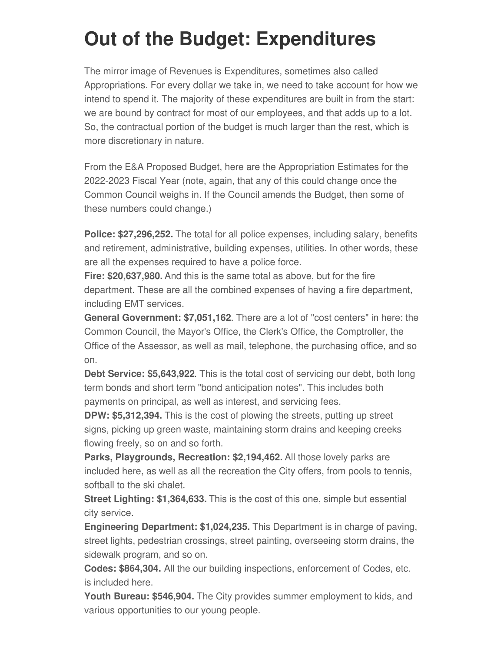# **Out of the Budget: Expenditures**

The mirror image of Revenues is Expenditures, sometimes also called Appropriations. For every dollar we take in, we need to take account for how we intend to spend it. The majority of these expenditures are built in from the start: we are bound by contract for most of our employees, and that adds up to a lot. So, the contractual portion of the budget is much larger than the rest, which is more discretionary in nature.

From the E&A Proposed Budget, here are the Appropriation Estimates for the 2022-2023 Fiscal Year (note, again, that any of this could change once the Common Council weighs in. If the Council amends the Budget, then some of these numbers could change.)

**Police: \$27,296,252.** The total for all police expenses, including salary, benefits and retirement, administrative, building expenses, utilities. In other words, these are all the expenses required to have a police force.

**Fire: \$20,637,980.** And this is the same total as above, but for the fire department. These are all the combined expenses of having a fire department, including EMT services.

**General Government: \$7,051,162**. There are a lot of "cost centers" in here: the Common Council, the Mayor's Office, the Clerk's Office, the Comptroller, the Office of the Assessor, as well as mail, telephone, the purchasing office, and so on.

**Debt Service: \$5,643,922**. This is the total cost of servicing our debt, both long term bonds and short term "bond anticipation notes". This includes both payments on principal, as well as interest, and servicing fees.

**DPW: \$5,312,394.** This is the cost of plowing the streets, putting up street signs, picking up green waste, maintaining storm drains and keeping creeks flowing freely, so on and so forth.

**Parks, Playgrounds, Recreation: \$2,194,462.** All those lovely parks are included here, as well as all the recreation the City offers, from pools to tennis, softball to the ski chalet.

**Street Lighting: \$1,364,633.** This is the cost of this one, simple but essential city service.

**Engineering Department: \$1,024,235.** This Department is in charge of paving, street lights, pedestrian crossings, street painting, overseeing storm drains, the sidewalk program, and so on.

**Codes: \$864,304.** All the our building inspections, enforcement of Codes, etc. is included here.

**Youth Bureau: \$546,904.** The City provides summer employment to kids, and various opportunities to our young people.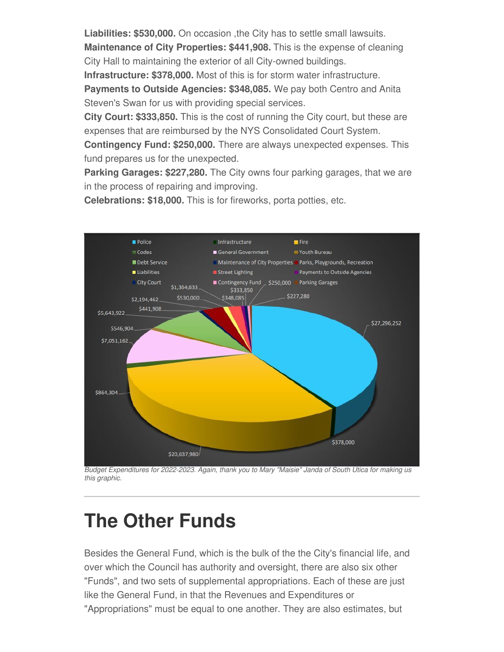**Liabilities: \$530,000.** On occasion ,the City has to settle small lawsuits.

**Maintenance of City Properties: \$441,908.** This is the expense of cleaning City Hall to maintaining the exterior of all City-owned buildings.

**Infrastructure: \$378,000.** Most of this is for storm water infrastructure.

**Payments to Outside Agencies: \$348,085.** We pay both Centro and Anita Steven's Swan for us with providing special services.

**City Court: \$333,850.** This is the cost of running the City court, but these are expenses that are reimbursed by the NYS Consolidated Court System.

**Contingency Fund: \$250,000.** There are always unexpected expenses. This fund prepares us for the unexpected.

**Parking Garages: \$227,280.** The City owns four parking garages, that we are in the process of repairing and improving.

**Celebrations: \$18,000.** This is for fireworks, porta potties, etc.



*Budget Expenditures for 2022-2023. Again, thank you to Mary "Maisie" Janda of South Utica for making us this graphic.*

### **The Other Funds**

Besides the General Fund, which is the bulk of the the City's financial life, and over which the Council has authority and oversight, there are also six other "Funds", and two sets of supplemental appropriations. Each of these are just like the General Fund, in that the Revenues and Expenditures or "Appropriations" must be equal to one another. They are also estimates, but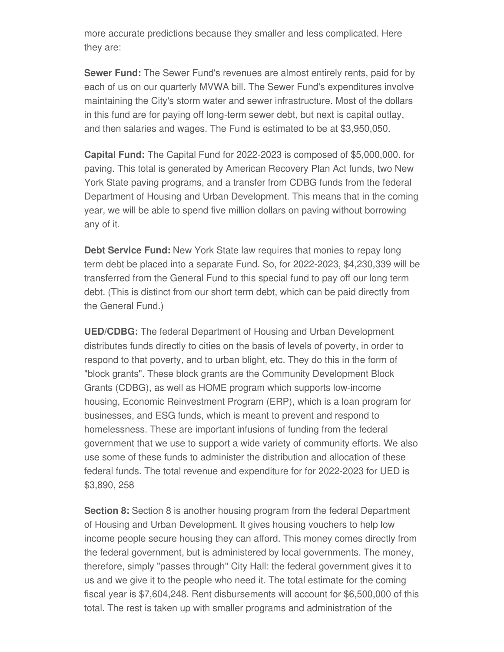more accurate predictions because they smaller and less complicated. Here they are:

**Sewer Fund:** The Sewer Fund's revenues are almost entirely rents, paid for by each of us on our quarterly MVWA bill. The Sewer Fund's expenditures involve maintaining the City's storm water and sewer infrastructure. Most of the dollars in this fund are for paying off long-term sewer debt, but next is capital outlay, and then salaries and wages. The Fund is estimated to be at \$3,950,050.

**Capital Fund:** The Capital Fund for 2022-2023 is composed of \$5,000,000. for paving. This total is generated by American Recovery Plan Act funds, two New York State paving programs, and a transfer from CDBG funds from the federal Department of Housing and Urban Development. This means that in the coming year, we will be able to spend five million dollars on paving without borrowing any of it.

**Debt Service Fund:** New York State law requires that monies to repay long term debt be placed into a separate Fund. So, for 2022-2023, \$4,230,339 will be transferred from the General Fund to this special fund to pay off our long term debt. (This is distinct from our short term debt, which can be paid directly from the General Fund.)

**UED/CDBG:** The federal Department of Housing and Urban Development distributes funds directly to cities on the basis of levels of poverty, in order to respond to that poverty, and to urban blight, etc. They do this in the form of "block grants". These block grants are the Community Development Block Grants (CDBG), as well as HOME program which supports low-income housing, Economic Reinvestment Program (ERP), which is a loan program for businesses, and ESG funds, which is meant to prevent and respond to homelessness. These are important infusions of funding from the federal government that we use to support a wide variety of community efforts. We also use some of these funds to administer the distribution and allocation of these federal funds. The total revenue and expenditure for for 2022-2023 for UED is \$3,890, 258

**Section 8:** Section 8 is another housing program from the federal Department of Housing and Urban Development. It gives housing vouchers to help low income people secure housing they can afford. This money comes directly from the federal government, but is administered by local governments. The money, therefore, simply "passes through" City Hall: the federal government gives it to us and we give it to the people who need it. The total estimate for the coming fiscal year is \$7,604,248. Rent disbursements will account for \$6,500,000 of this total. The rest is taken up with smaller programs and administration of the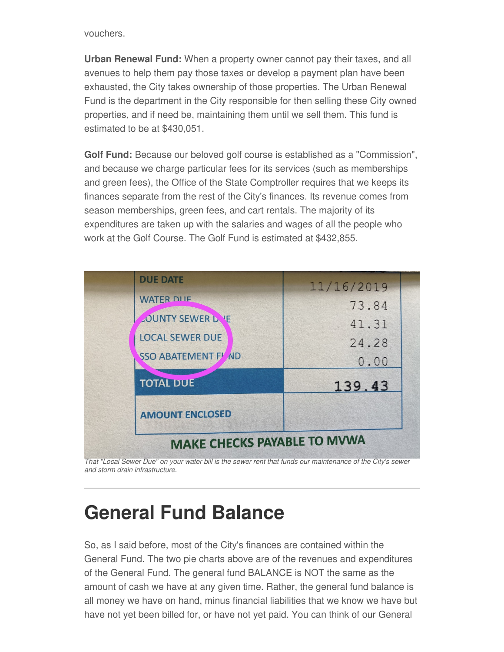vouchers.

**Urban Renewal Fund:** When a property owner cannot pay their taxes, and all avenues to help them pay those taxes or develop a payment plan have been exhausted, the City takes ownership of those properties. The Urban Renewal Fund is the department in the City responsible for then selling these City owned properties, and if need be, maintaining them until we sell them. This fund is estimated to be at \$430,051.

**Golf Fund:** Because our beloved golf course is established as a "Commission", and because we charge particular fees for its services (such as memberships and green fees), the Office of the State Comptroller requires that we keeps its finances separate from the rest of the City's finances. Its revenue comes from season memberships, green fees, and cart rentals. The majority of its expenditures are taken up with the salaries and wages of all the people who work at the Golf Course. The Golf Fund is estimated at \$432,855.



That "Local Sewer Due" on your water bill is the sewer rent that funds our maintenance of the City's sewer *and storm drain infrastructure.*

## **General Fund Balance**

So, as I said before, most of the City's finances are contained within the General Fund. The two pie charts above are of the revenues and expenditures of the General Fund. The general fund BALANCE is NOT the same as the amount of cash we have at any given time. Rather, the general fund balance is all money we have on hand, minus financial liabilities that we know we have but have not yet been billed for, or have not yet paid. You can think of our General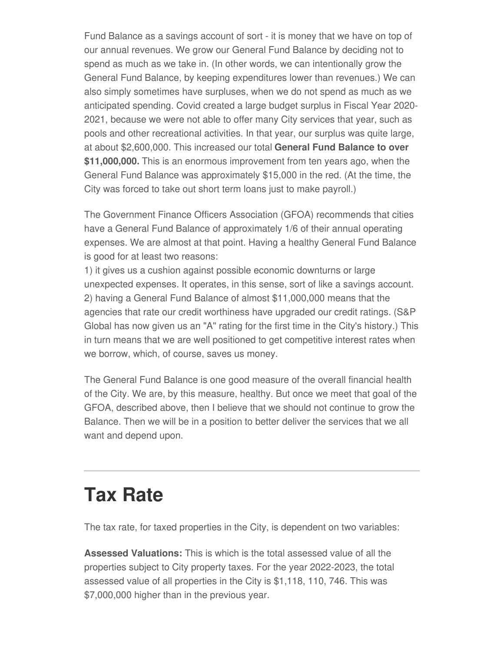Fund Balance as a savings account of sort - it is money that we have on top of our annual revenues. We grow our General Fund Balance by deciding not to spend as much as we take in. (In other words, we can intentionally grow the General Fund Balance, by keeping expenditures lower than revenues.) We can also simply sometimes have surpluses, when we do not spend as much as we anticipated spending. Covid created a large budget surplus in Fiscal Year 2020- 2021, because we were not able to offer many City services that year, such as pools and other recreational activities. In that year, our surplus was quite large, at about \$2,600,000. This increased our total **General Fund Balance to over \$11,000,000.** This is an enormous improvement from ten years ago, when the General Fund Balance was approximately \$15,000 in the red. (At the time, the City was forced to take out short term loans just to make payroll.)

The Government Finance Officers Association (GFOA) recommends that cities have a General Fund Balance of approximately 1/6 of their annual operating expenses. We are almost at that point. Having a healthy General Fund Balance is good for at least two reasons:

1) it gives us a cushion against possible economic downturns or large unexpected expenses. It operates, in this sense, sort of like a savings account. 2) having a General Fund Balance of almost \$11,000,000 means that the agencies that rate our credit worthiness have upgraded our credit ratings. (S&P Global has now given us an "A" rating for the first time in the City's history.) This in turn means that we are well positioned to get competitive interest rates when we borrow, which, of course, saves us money.

The General Fund Balance is one good measure of the overall financial health of the City. We are, by this measure, healthy. But once we meet that goal of the GFOA, described above, then I believe that we should not continue to grow the Balance. Then we will be in a position to better deliver the services that we all want and depend upon.

### **Tax Rate**

The tax rate, for taxed properties in the City, is dependent on two variables:

**Assessed Valuations:** This is which is the total assessed value of all the properties subject to City property taxes. For the year 2022-2023, the total assessed value of all properties in the City is \$1,118, 110, 746. This was \$7,000,000 higher than in the previous year.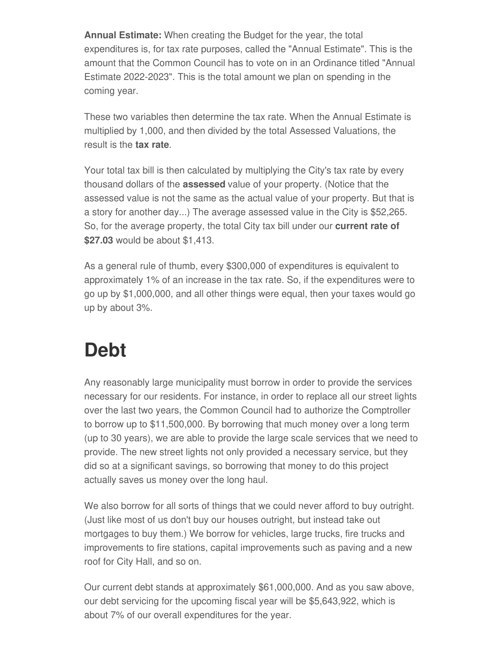**Annual Estimate:** When creating the Budget for the year, the total expenditures is, for tax rate purposes, called the "Annual Estimate". This is the amount that the Common Council has to vote on in an Ordinance titled "Annual Estimate 2022-2023". This is the total amount we plan on spending in the coming year.

These two variables then determine the tax rate. When the Annual Estimate is multiplied by 1,000, and then divided by the total Assessed Valuations, the result is the **tax rate**.

Your total tax bill is then calculated by multiplying the City's tax rate by every thousand dollars of the **assessed** value of your property. (Notice that the assessed value is not the same as the actual value of your property. But that is a story for another day...) The average assessed value in the City is \$52,265. So, for the average property, the total City tax bill under our **current rate of \$27.03** would be about \$1,413.

As a general rule of thumb, every \$300,000 of expenditures is equivalent to approximately 1% of an increase in the tax rate. So, if the expenditures were to go up by \$1,000,000, and all other things were equal, then your taxes would go up by about 3%.

## **Debt**

Any reasonably large municipality must borrow in order to provide the services necessary for our residents. For instance, in order to replace all our street lights over the last two years, the Common Council had to authorize the Comptroller to borrow up to \$11,500,000. By borrowing that much money over a long term (up to 30 years), we are able to provide the large scale services that we need to provide. The new street lights not only provided a necessary service, but they did so at a significant savings, so borrowing that money to do this project actually saves us money over the long haul.

We also borrow for all sorts of things that we could never afford to buy outright. (Just like most of us don't buy our houses outright, but instead take out mortgages to buy them.) We borrow for vehicles, large trucks, fire trucks and improvements to fire stations, capital improvements such as paving and a new roof for City Hall, and so on.

Our current debt stands at approximately \$61,000,000. And as you saw above, our debt servicing for the upcoming fiscal year will be \$5,643,922, which is about 7% of our overall expenditures for the year.